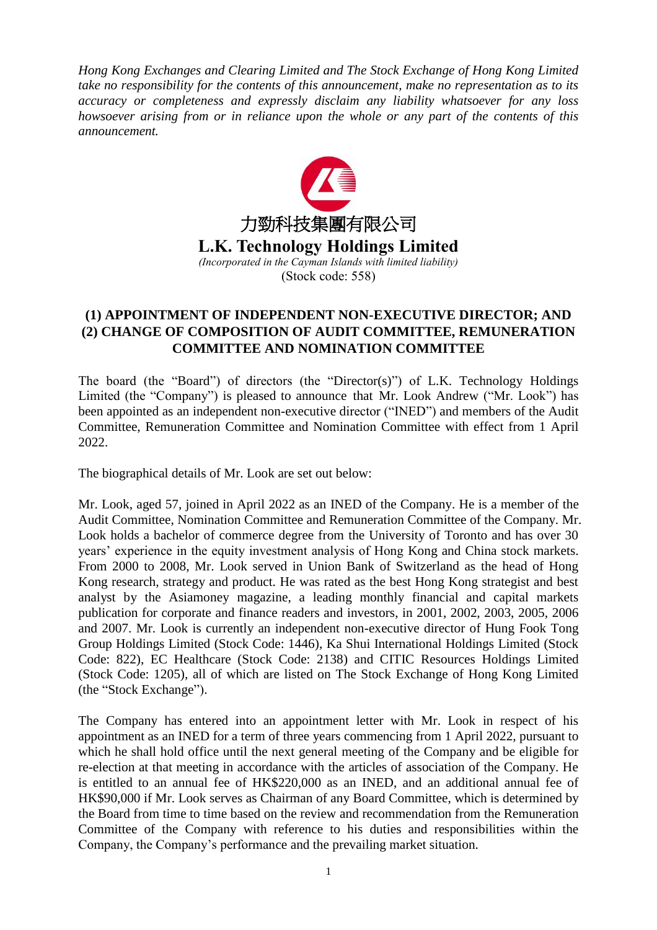*Hong Kong Exchanges and Clearing Limited and The Stock Exchange of Hong Kong Limited take no responsibility for the contents of this announcement, make no representation as to its accuracy or completeness and expressly disclaim any liability whatsoever for any loss howsoever arising from or in reliance upon the whole or any part of the contents of this announcement.*



## **(1) APPOINTMENT OF INDEPENDENT NON-EXECUTIVE DIRECTOR; AND (2) CHANGE OF COMPOSITION OF AUDIT COMMITTEE, REMUNERATION COMMITTEE AND NOMINATION COMMITTEE**

The board (the "Board") of directors (the "Director(s)") of L.K. Technology Holdings Limited (the "Company") is pleased to announce that Mr. Look Andrew ("Mr. Look") has been appointed as an independent non-executive director ("INED") and members of the Audit Committee, Remuneration Committee and Nomination Committee with effect from 1 April 2022.

The biographical details of Mr. Look are set out below:

Mr. Look, aged 57, joined in April 2022 as an INED of the Company. He is a member of the Audit Committee, Nomination Committee and Remuneration Committee of the Company. Mr. Look holds a bachelor of commerce degree from the University of Toronto and has over 30 years' experience in the equity investment analysis of Hong Kong and China stock markets. From 2000 to 2008, Mr. Look served in Union Bank of Switzerland as the head of Hong Kong research, strategy and product. He was rated as the best Hong Kong strategist and best analyst by the Asiamoney magazine, a leading monthly financial and capital markets publication for corporate and finance readers and investors, in 2001, 2002, 2003, 2005, 2006 and 2007. Mr. Look is currently an independent non-executive director of Hung Fook Tong Group Holdings Limited (Stock Code: 1446), Ka Shui International Holdings Limited (Stock Code: 822), EC Healthcare (Stock Code: 2138) and CITIC Resources Holdings Limited (Stock Code: 1205), all of which are listed on The Stock Exchange of Hong Kong Limited (the "Stock Exchange").

The Company has entered into an appointment letter with Mr. Look in respect of his appointment as an INED for a term of three years commencing from 1 April 2022, pursuant to which he shall hold office until the next general meeting of the Company and be eligible for re-election at that meeting in accordance with the articles of association of the Company. He is entitled to an annual fee of HK\$220,000 as an INED, and an additional annual fee of HK\$90,000 if Mr. Look serves as Chairman of any Board Committee, which is determined by the Board from time to time based on the review and recommendation from the Remuneration Committee of the Company with reference to his duties and responsibilities within the Company, the Company's performance and the prevailing market situation.